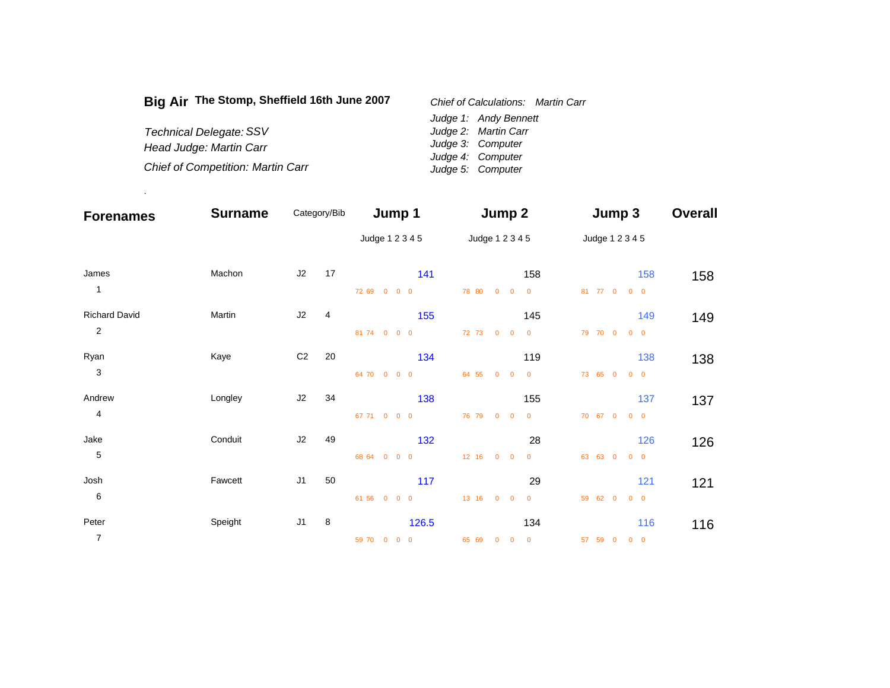| Big Air The Stomp, Sheffield 16th June 2007 | Chief of Calculations: Martin Carr |
|---------------------------------------------|------------------------------------|
|                                             | Judge 1: Andy Bennett              |
| <b>Technical Delegate: SSV</b>              | Judge 2: Martin Carr               |
| Head Judge: Martin Carr                     | Judge 3: Computer                  |
|                                             | Judge 4: Computer                  |
| <b>Chief of Competition: Martin Carr</b>    | Judge 5: Computer                  |

.

| <b>Forenames</b>     | <b>Surname</b> | Category/Bib   |    | Jump 1                     |       | Jump 2                                             |                          | Jump 3          |            | <b>Overall</b> |
|----------------------|----------------|----------------|----|----------------------------|-------|----------------------------------------------------|--------------------------|-----------------|------------|----------------|
|                      |                |                |    | Judge 1 2 3 4 5            |       | Judge 1 2 3 4 5                                    |                          | Judge 1 2 3 4 5 |            |                |
| James                | Machon         | J2             | 17 |                            | 141   |                                                    | 158                      |                 | 158        | 158            |
| $\mathbf{1}$         |                |                |    | 72 69 0 0 0                | 78 80 | $0 \quad 0$                                        | $\overline{\mathbf{0}}$  | 81 77 0         | $0\quad 0$ |                |
| <b>Richard David</b> | Martin         | J2             | 4  |                            | 155   |                                                    | 145                      |                 | 149        | 149            |
| $\overline{2}$       |                |                |    | 81 74 0 0 0                |       | 72 73 0 0                                          | $\overline{\mathbf{0}}$  | 79 70 0         | $0\quad 0$ |                |
| Ryan                 | Kaye           | C <sub>2</sub> | 20 |                            | 134   |                                                    | 119                      |                 | 138        | 138            |
| $\sqrt{3}$           |                |                |    | 64 70 0 0 0                | 64 55 | $0 \quad 0$                                        | $\overline{\phantom{0}}$ | 73 65 0         | $0\quad 0$ |                |
| Andrew               | Longley        | J2             | 34 |                            | 138   |                                                    | 155                      |                 | 137        | 137            |
| 4                    |                |                |    | 67 71<br>$0\quad 0\quad 0$ | 76 79 | $0 \quad 0$                                        | $\overline{0}$           | 70 67 0         | $0\quad 0$ |                |
| Jake                 | Conduit        | J2             | 49 |                            | 132   |                                                    | 28                       |                 | 126        | 126            |
| 5                    |                |                |    | 68 64<br>$0\quad 0\quad 0$ |       | 12 16 0 0                                          | $\mathbf 0$              | 63 63 0         | $0\quad 0$ |                |
| Josh                 | Fawcett        | J <sub>1</sub> | 50 |                            | 117   |                                                    | 29                       |                 | 121        | 121            |
| $\,6\,$              |                |                |    | 61 56<br>$0\quad 0\quad 0$ | 13 16 | $0 \quad 0$                                        | $\mathbf 0$              | 59 62 0         | $0\quad 0$ |                |
| Peter                | Speight        | J <sub>1</sub> | 8  |                            | 126.5 |                                                    | 134                      |                 | 116        | 116            |
| 7                    |                |                |    | 59 70 0 0 0                | 65 69 | $\overline{\mathbf{0}}$<br>$\overline{\mathbf{0}}$ | $\overline{\mathbf{0}}$  | 57 59 0         | $0\quad 0$ |                |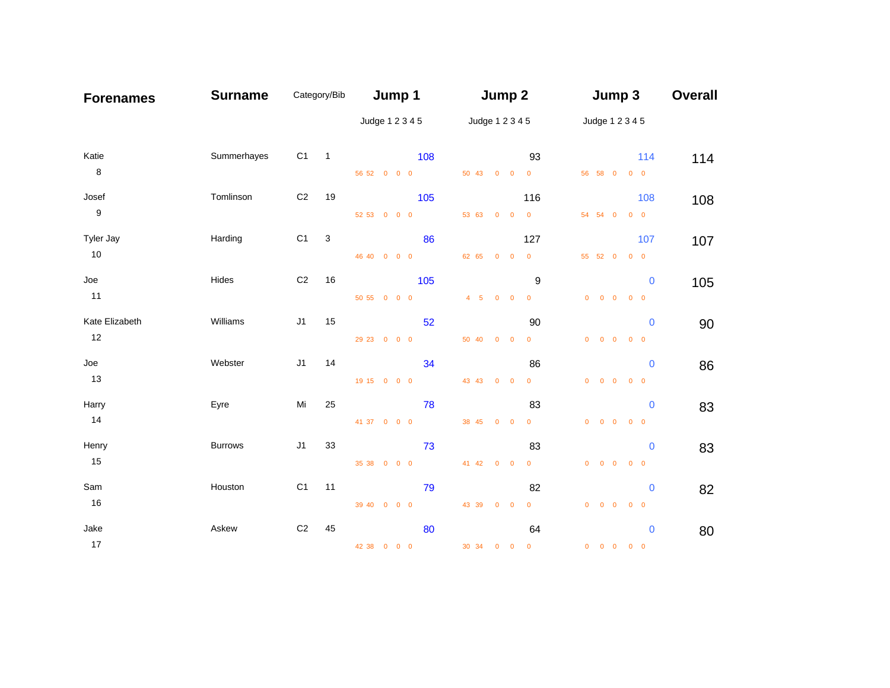| <b>Forenames</b> | <b>Surname</b> |                | Category/Bib   | Jump 1            | Jump 2                               | Jump 3                                                               | <b>Overall</b> |
|------------------|----------------|----------------|----------------|-------------------|--------------------------------------|----------------------------------------------------------------------|----------------|
|                  |                |                |                | Judge 1 2 3 4 5   | Judge 1 2 3 4 5                      | Judge 1 2 3 4 5                                                      |                |
| Katie            | Summerhayes    | C1             | $\overline{1}$ | 108               | 93                                   | 114                                                                  | 114            |
| 8                |                |                |                | 56 52 0 0 0       | 50 43 0 0 0                          | 56 58 0 0 0                                                          |                |
| Josef            | Tomlinson      | C <sub>2</sub> | 19             | 105               | 116                                  | 108                                                                  | 108            |
| $\boldsymbol{9}$ |                |                |                | 52 53 0 0 0       | 53 63 0 0 0                          | 54 54 0<br>$0\quad 0$                                                |                |
| Tyler Jay        | Harding        | C <sub>1</sub> | 3              | 86                | 127                                  | 107                                                                  | 107            |
| 10               |                |                |                | 46 40 0 0 0       | 62 65 0 0 0                          | 55 52 0 0 0                                                          |                |
| Joe              | Hides          | C <sub>2</sub> | 16             | 105               | 9                                    | $\mathbf 0$                                                          | 105            |
| 11               |                |                |                | 50 55 0 0 0       | 4 5 0 0 0                            | $0$ 0 0<br>$0\quad 0$                                                |                |
| Kate Elizabeth   | Williams       | J1             | 15             | 52                | 90                                   | $\mathbf 0$                                                          | 90             |
| 12               |                |                |                | 29 23 0 0 0       | 50 40 0 0<br>$\overline{0}$          | $0$ 0 0<br>$0 \quad 0$                                               |                |
| Joe              | Webster        | J1             | 14             | 34                | 86                                   | $\mathbf{0}$                                                         |                |
| 13               |                |                |                | 19 15 0 0 0       | 43 43 0 0<br>$\overline{\mathbf{0}}$ | $\begin{matrix} 0 & 0 & 0 & 0 & 0 \end{matrix}$                      | 86             |
| Harry            | Eyre           | Mi             | 25             |                   |                                      |                                                                      |                |
| 14               |                |                |                | 78<br>41 37 0 0 0 | 83<br>$\overline{0}$<br>38 45 0 0    | $\mathbf 0$<br>$0\quad 0\quad 0$<br>$0\quad 0$                       | 83             |
|                  |                |                |                |                   |                                      |                                                                      |                |
| Henry<br>15      | <b>Burrows</b> | J1             | 33             | 73                | 83                                   | $\mathbf 0$                                                          | 83             |
|                  |                |                |                | 35 38 0 0 0       | 41 42 0 0<br>$\overline{\mathbf{0}}$ | $0$ 0 0<br>$0\quad 0$                                                |                |
| Sam              | Houston        | C <sub>1</sub> | 11             | 79                | 82                                   | $\bf{0}$                                                             | 82             |
| 16               |                |                |                | 39 40 0 0 0       | 43 39 0 0<br>$\overline{0}$          | $\begin{array}{ccccccccccccccccc} 0 & 0 & 0 & 0 & 0 & 0 \end{array}$ |                |
| Jake             | Askew          | C <sub>2</sub> | 45             | 80                | 64                                   | $\bf{0}$                                                             | 80             |
| 17               |                |                |                | 42 38 0 0 0       | 30 34 0 0 0                          | $0\quad 0\quad 0$<br>$0\quad 0$                                      |                |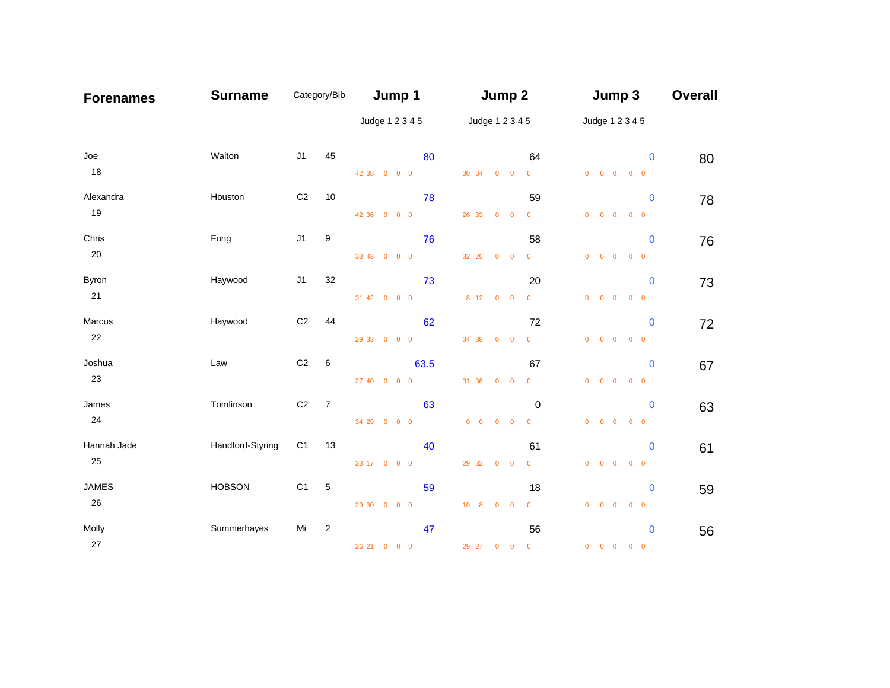| <b>Forenames</b> | <b>Surname</b>   | Category/Bib   |                | Jump 1          |       | Jump 2                                      |                         | Jump 3                                          | <b>Overall</b> |
|------------------|------------------|----------------|----------------|-----------------|-------|---------------------------------------------|-------------------------|-------------------------------------------------|----------------|
|                  |                  |                |                | Judge 1 2 3 4 5 |       | Judge 1 2 3 4 5                             |                         | Judge 1 2 3 4 5                                 |                |
| Joe              | Walton           | J1             | 45             |                 | 80    |                                             | 64                      | $\mathbf{0}$                                    | 80             |
| 18               |                  |                |                | 42 38 0 0 0     |       | 30 34 0 0                                   | $\overline{\mathbf{0}}$ | $0\qquad 0\qquad 0\qquad 0\qquad 0$             |                |
| Alexandra        | Houston          | $\mbox{C2}$    | 10             |                 | 78    |                                             | 59                      | $\mathbf 0$                                     | 78             |
| 19               |                  |                |                | 42 36 0 0 0     |       | 26 33 0 0                                   | $\overline{0}$          | $0$ 0 0<br>$0\quad 0$                           |                |
| Chris            | Fung             | J1             | 9              |                 | 76    |                                             | 58                      | $\mathbf{0}$                                    | 76             |
| 20               |                  |                |                | 33 43 0 0 0     |       | 32 26 0 0                                   | $\mathbf{0}$            | $\begin{matrix} 0 & 0 & 0 & 0 & 0 \end{matrix}$ |                |
| Byron            | Haywood          | J1             | 32             |                 | 73    |                                             | 20                      | $\bf{0}$                                        | 73             |
| 21               |                  |                |                | 31 42 0 0 0     |       | 8 12 0 0                                    | $\mathbf{0}$            | $0\quad 0\quad 0$<br>$0\quad 0$                 |                |
| Marcus           | Haywood          | $\mbox{C2}$    | 44             |                 | 62    |                                             | 72                      | $\mathbf 0$                                     | 72             |
| 22               |                  |                |                | 29 33 0 0 0     |       | 34 38 0 0                                   | $\mathbf{0}$            | $0$ 0 0<br>$0\quad 0$                           |                |
| Joshua           | Law              | $\mbox{C2}$    | 6              |                 | 63.5  |                                             | 67                      | $\mathbf 0$                                     | 67             |
| 23               |                  |                |                | 27 40 0 0 0     |       | 31 36 0 0                                   | $\overline{\mathbf{0}}$ | $\begin{matrix} 0 & 0 & 0 & 0 & 0 \end{matrix}$ |                |
| James            | Tomlinson        | C <sub>2</sub> | $\overline{7}$ |                 | 63    |                                             | 0                       | $\mathbf{0}$                                    | 63             |
| 24               |                  |                |                | 34 29 0 0 0     |       | $\begin{matrix} 0 & 0 & 0 & 0 \end{matrix}$ | $\overline{\mathbf{0}}$ | $0$ 0 0<br>$0 \quad 0$                          |                |
| Hannah Jade      | Handford-Styring | C <sub>1</sub> | 13             |                 | 40    |                                             | 61                      | $\mathbf{0}$                                    | 61             |
| 25               |                  |                |                | 23 17 0 0 0     |       | 29 32 0 0                                   | $\mathbf{0}$            | $0$ 0 0<br>$0\quad 0$                           |                |
| JAMES            | <b>HOBSON</b>    | C <sub>1</sub> | 5              |                 | 59    |                                             | 18                      | $\bf{0}$                                        | 59             |
| 26               |                  |                |                | 29 30 0 0 0     |       | 10 8 0 0                                    | $\mathbf{0}$            | $\begin{matrix} 0 & 0 & 0 & 0 & 0 \end{matrix}$ |                |
| Molly            | Summerhayes      | Mi             | $\overline{c}$ |                 | 47    |                                             | 56                      | $\bf{0}$                                        | 56             |
| 27               |                  |                |                | 26 21 0 0 0     | 29 27 | $0 \quad 0$                                 | $\overline{\mathbf{0}}$ | $0\quad 0\quad 0$<br>$0\quad 0$                 |                |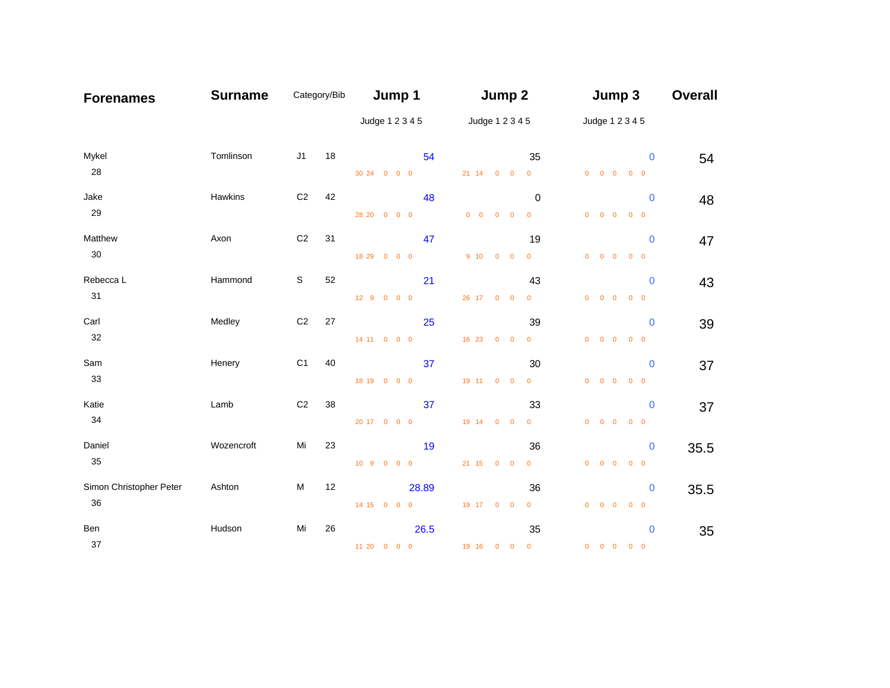| <b>Forenames</b>              | <b>Surname</b> | Category/Bib   |    | Jump 1          |       | Jump 2                                      |                 |                               | Jump 3 |                                                                            | <b>Overall</b> |
|-------------------------------|----------------|----------------|----|-----------------|-------|---------------------------------------------|-----------------|-------------------------------|--------|----------------------------------------------------------------------------|----------------|
|                               |                |                |    | Judge 1 2 3 4 5 |       |                                             | Judge 1 2 3 4 5 |                               |        | Judge 1 2 3 4 5                                                            |                |
| Mykel<br>28                   | Tomlinson      | J1             | 18 | 30 24 0 0 0     | 54    | 21 14 0 0                                   |                 | 35<br>$\overline{\mathbf{0}}$ |        | $\bf{0}$<br>$\begin{matrix} 0 & 0 & 0 & 0 & 0 \end{matrix}$                | 54             |
| Jake<br>29                    | Hawkins        | C <sub>2</sub> | 42 | 28 20 0 0 0     | 48    | $\begin{matrix} 0 & 0 & 0 & 0 \end{matrix}$ |                 | 0<br>$\overline{\mathbf{0}}$  |        | $\mathbf{0}$<br>$0$ 0 0<br>$0 \quad 0$                                     | 48             |
| Matthew<br>$30\,$             | Axon           | C <sub>2</sub> | 31 | 18 29 0 0 0     | 47    | 9 10 0 0                                    |                 | 19<br>$\mathbf{0}$            |        | $\bf{0}$<br>$\begin{matrix} 0 & 0 & 0 & 0 & 0 \end{matrix}$                | 47             |
| Rebecca L<br>31               | Hammond        | $\mathbb S$    | 52 | 12 9 0 0 0      | 21    | 26 17 0 0                                   |                 | 43<br>$\overline{0}$          |        | $\mathbf{0}$<br>$0$ 0 0<br>$0\quad 0$                                      | 43             |
| Carl<br>32                    | Medley         | $\mathbb{C}2$  | 27 | 14 11 0 0 0     | 25    | 16 23 0 0                                   |                 | 39<br>$\overline{0}$          |        | $\bf{0}$<br>$0$ 0 0<br>$0\quad 0$                                          | 39             |
| Sam<br>33                     | Henery         | C <sub>1</sub> | 40 | 18 19 0 0 0     | 37    | 19 11 0 0                                   |                 | 30<br>$\overline{0}$          |        | $\bf{0}$<br>$\begin{matrix} 0 & 0 & 0 & 0 & 0 \end{matrix}$                | 37             |
| Katie<br>34                   | Lamb           | C <sub>2</sub> | 38 | 20 17 0 0 0     | 37    | 19 14 0 0                                   |                 | 33<br>$\overline{0}$          |        | $\mathbf 0$<br>$0$ 0 0<br>$0\quad 0$                                       | 37             |
| Daniel<br>35                  | Wozencroft     | Mi             | 23 | 10 9 0 0 0      | 19    | 21 15 0 0                                   |                 | 36<br>$\overline{0}$          |        | $\bf{0}$<br>$0$ 0 0<br>$0 \quad 0$                                         | 35.5           |
| Simon Christopher Peter<br>36 | Ashton         | M              | 12 | 14 15 0 0 0     | 28.89 | 19 17 0 0                                   |                 | 36<br>$\overline{0}$          |        | $\mathbf 0$<br>$\begin{matrix} 0 & 0 & 0 & 0 & 0 \end{matrix}$             | 35.5           |
| Ben<br>37                     | Hudson         | Mi             | 26 | 11 20 0 0 0     | 26.5  | 19 16 0 0 0                                 |                 | 35                            |        | $\bf{0}$<br>$\begin{array}{ccccccccccccc}\n0 & 0 & 0 & 0 & 0\n\end{array}$ | 35             |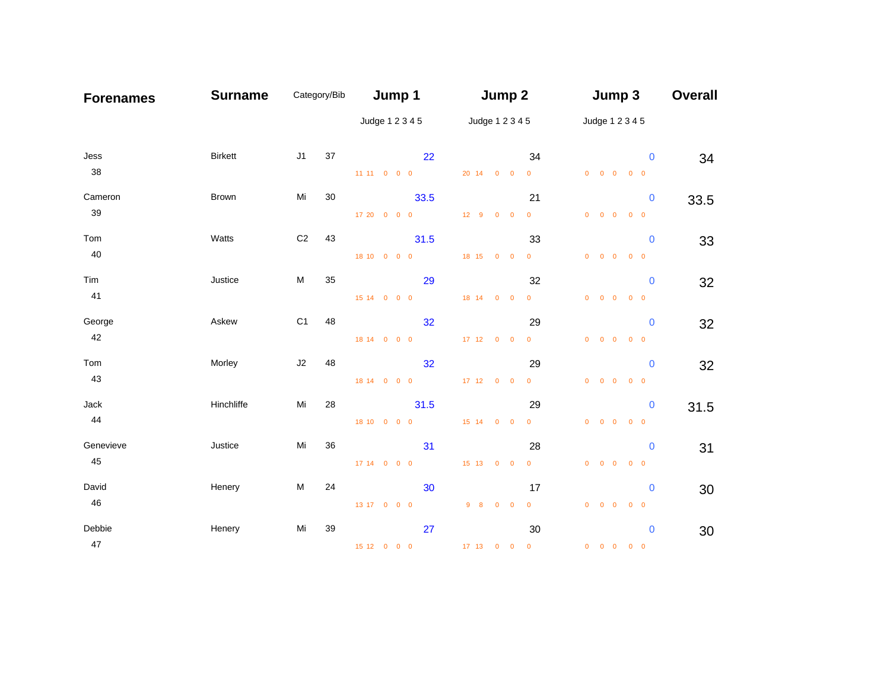| <b>Forenames</b> | <b>Surname</b> | Category/Bib   |    | Jump 1              | Jump 2                               | Jump 3                                                                                                   | <b>Overall</b> |
|------------------|----------------|----------------|----|---------------------|--------------------------------------|----------------------------------------------------------------------------------------------------------|----------------|
|                  |                |                |    | Judge 1 2 3 4 5     | Judge 1 2 3 4 5                      | Judge 1 2 3 4 5                                                                                          |                |
| Jess<br>38       | <b>Birkett</b> | J1             | 37 | 22<br>11 11 0 0 0   | 20 14 0 0<br>$\overline{\mathbf{0}}$ | 34<br>$\mathbf{0}$<br>$\begin{matrix} 0 & 0 & 0 & 0 & 0 \end{matrix}$                                    | 34             |
| Cameron<br>39    | Brown          | Mi             | 30 | 33.5                |                                      | 21<br>$\bf{0}$                                                                                           | 33.5           |
| Tom              | Watts          | C <sub>2</sub> | 43 | 17 20 0 0 0<br>31.5 | 12 9 0 0                             | $\overline{0}$<br>$\begin{matrix} 0 & 0 & 0 & 0 & 0 \end{matrix}$<br>33<br>$\bf{0}$                      | 33             |
| 40<br>Tim<br>41  | Justice        | M              | 35 | 18 10 0 0 0<br>29   | 18 15 0 0                            | $\overline{0}$<br>$\begin{matrix} 0 & 0 & 0 & 0 & 0 \end{matrix}$<br>32<br>$\mathbf 0$                   | 32             |
| George<br>42     | Askew          | C <sub>1</sub> | 48 | 15 14 0 0 0<br>32   | 18 14 0 0                            | $\overline{0}$<br>$0\quad 0\quad 0$<br>$0\quad 0$<br>29<br>$\bf{0}$                                      | 32             |
| Tom<br>43        | Morley         | J2             | 48 | 18 14 0 0 0<br>32   | 17 12 0 0                            | $\overline{0}$<br>$0$ 0 0<br>$0 \quad 0$<br>29<br>$\bf{0}$                                               | 32             |
| Jack<br>44       | Hinchliffe     | Mi             | 28 | 18 14 0 0 0<br>31.5 | 17 12 0 0<br>$\overline{\mathbf{0}}$ | $\begin{matrix} 0 & 0 & 0 & 0 & 0 \end{matrix}$<br>29<br>$\bf{0}$                                        | 31.5           |
| Genevieve        | Justice        | Mi             | 36 | 18 10 0 0 0<br>31   | 15 14 0 0                            | $\overline{0}$<br>$0$ 0 0<br>$0\quad 0$<br>28<br>$\mathbf 0$                                             | 31             |
| 45<br>David      | Henery         | M              | 24 | 17 14 0 0 0<br>30   | 15 13 0 0<br>$\overline{\mathbf{0}}$ | $0$ 0 0<br>$0\quad 0$<br>17<br>$\bf{0}$                                                                  | 30             |
| 46<br>Debbie     | Henery         | Mi             | 39 | 13 17 0 0 0<br>27   | 9 8 0 0                              | $\overline{0}$<br>$\begin{array}{ccccccccccccccccc} 0 & 0 & 0 & 0 & 0 & 0 \end{array}$<br>30<br>$\bf{0}$ | 30             |
| 47               |                |                |    | 15 12 0 0 0         | 17 13 0 0 0                          | $\begin{array}{ccccccccccccc}\n0 & 0 & 0 & 0 & 0\n\end{array}$                                           |                |